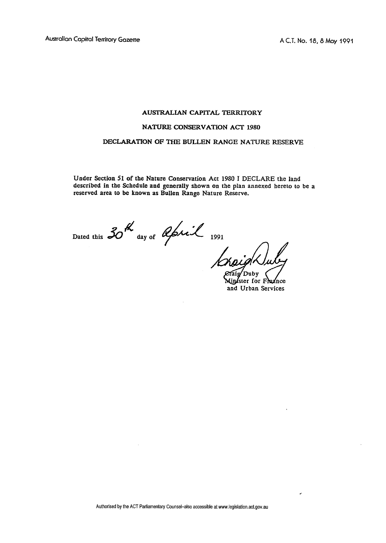## **AUSTRALLAN CAPITAL TERRITORY**

## **NATURE CONSERVATION ACT 1980**

## **DECLARATION OF THE BULLEN RANGE NATURE RESERVE**

**Under Section 51 of the Nature Conservation Act 1980 I DECLARE the land described in the Schedule and generally shown on the plan annexed hereto to be a reserved area to be known as Bullen Range Nature Reserve.** 

Dated this  $30^{12}$  day of applicable 1991

y Duby

inster for Fhiznce **and Urban Services** 

Authorised by the ACT Parliamentary Counsel-also accessible at www.legislation.act.gov.au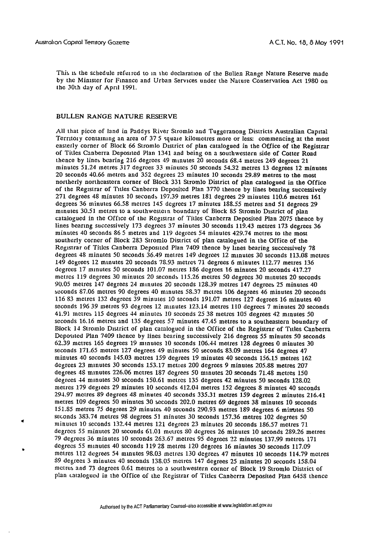This is the schedule referred to in the declaration of the Bullen Range Nature Reserve made by the Minister for Finance and Urban Services under the Nature Conservation Act 1980 on the 30th day of April 1991.

## **BULLEN RANGE NATURE RESERVE**

All that picce of land in Paddys River Stromlo and Tuggeranong Districts Australian Capital Territory containing an area of 37 5 squale kilometres more or less: commencing at the most easterly corner of Block 66 Stromlo District of plan catalogued in the Office of the Registrar of Titles Canberra Deposited Plan 1341 and being on a southwestern side of Cotter Road Lhcnce by lines bcaring 216 degrccs 49 minures 20 seconds 68.4 metres 249 degrees 21 minutcs 51.24 metres 317 degrces 33 minutcs 50 seconds 54.32 metres 13 degrees 12 minutes 20 seconds 40.66 metres and 352 degrees 23 minutes 10 seconds 29.89 metres to **the** most northerly northcastern corner of Block 331 Stromlo District of plan catalogued in the Office of the Registrar of Tltles Canberra Dcposircd Plan 3770 thence by lines bearing successively 271 degrees 48 minutes 10 seconds 197.39 metres 181 degrees 29 minutes 110.6 metres 161 degrees 36 minutes 66.58 metres 145 degrees 17 minutes 188.55 metres and 51 degrees 29 minutes 30.51 metres to a southwestern boundary of Block 85 Stromlo District of plan catalogued in the Offlce of the Rcglstrar of Titles Canbcrra Deposited Plan 2075 thence by lines bearing successively 173 degrees 37 minutes 30 seconds 119.43 metres 173 degrees 36 minutes 40 seconds 86 5 metres and 119 dcgrccs 54 minutes 429.74 mctres to the most sourherly corner of Block 283 Stromlo District **of** plan catalogued in the Office of the Registrar of Titles Canberra Deposited Plan 7409 thence by lines bearing successively 78 degrees 48 minutes 50 seconds 36.49 metres 149 degrees 12 minutes 30 seconds 113.08 metres 149 dcgreea 12 mlnutes 20 seconds 75.93 metres 71 degrees **G** minutes 112.77 metres 136 degrees 17 minutes 50 seconds 101.07 metres 186 degrees 16 minutes 20 seconds 417.27 melrcs 119 degrees 30 minulcs 20 seconds 115.26 metres 50 degrees 30 mrnutes 20 seconds 90.05 metres 147 degrees 24 mlnutes 2C seconds 128.39 metres 147 degrees 25 minutes 40 seconds 87.06 metres 90 degrees 40 minutes 58.37 metres 106 degrees 46 minutes 20 seconds 116 **83** metres 132 degrees 39 minutes 10 seconds 191.07 metres 127 degrees 16 minutes 40 seconds 196 39 metres 93 degrees 12 minutes 123.14 metres 110 degrees 7 minutes 20 seconds 41.91 metres 115 degrees 44 minutes 10 seconds 25 38 metres 105 degrees 42 minutes 50 seconds 16.16 metres and **135** degrees 57 minutes 47.45 metres to a southeastern boundary of Block 14 Stromlo District of plan catalogued in the Office of the Registrar of Titles Canberra Deposited Plan 7409 thence by lines bearing successively 216 degrees 55 minutes 50 seconds  $62.39$  metres 165 degrees 19 minutes 10 seconds 106.44 metres 128 degrees 0 minutes 30 seconds 171.65 metrcs 127 degrees 49 minutes 50 seconds 83.09 metres 164 degrees 47 minutes 40 scconds 145.03 mctres 159 dcgrees 19 minutes 40 seconds 156.15 metres 162 degrees 23 mlnutes 30 seconds 153.17 metles 200 degrces 9 minutes 205.88 metres **207**  degrees 46 minutes 226.06 metres 187 dcgrees 50 minutes 20 seconds 71.48 metres 150 degrees 44 mlnutes 30 seconds 150.61 merrcs 135 dcgrees 42 minutes 50 seconds 128.02 metres 179 degrees 29 minutes 10 seconds 412.04 metres 152 degrees 8 minutes 40 seconds 291.97 mctres 89 degrees 48 minutes 40 scconds 335.31 mctres 159 degrees 2 minutes 216.41 metres 109 degrecs 50 minutcs 30 scconds 202.0 metres 69 degrees 38 minutes 10 seconds 151.S5 metres 75 degrees 29 minutes 40 scconds 290.93 metres IS9 degrees 6 mimtes 50 seconds 383.74 metres 98 degrees 51 minutes 30 seconds 157.36 metres 102 degrees 50<br>minutes 10 seconds 132.44 metres 121 degrecs 23 minutes 20 seconds 186.57 metres 71 degrccs 55 minures 20 seconds 61.01 mcucs **80** dcgrees 26 minutes 10 seconds 239.26 metres 79 degrecs 36 minutes 10 scconds 263.67 metres 95 degrees 32 minutes 137.99 metres 171 degrecs 55 minutes 40 seconds 119 28 metres 120 degrees 16 minutes 30 seconds 117.09 metres 112 dcgress 54 mlnutes 98.03 metres 130 degrees 47 minutes 10 seconds 114.79 mctres 89 degrees 3 rninulcs 40 seconds 133.05 metres 147 degrees 25 minutes 20 seconds 158.04 metres and 73 dcgrccs 0.61 metrcs to **a** southwestern corncr of Block 19 Strornlo District of plan catalogued in the Office of the Registrar of Titles Canberra Deposited Plan 6458 thence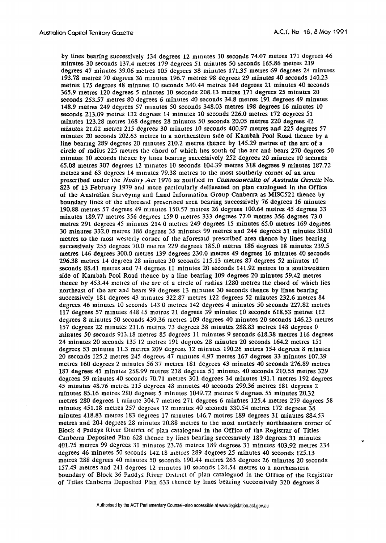by lines bearing successiveIy 134 degrees 12 minutes 10 seconds 74.07 metres 171 degrees 46 minutes 30 seconds 137.4 metres 179 degrees 51 minutes 50 seconds 165.86 metres 219 degrees 47 minutes 39.06 metres 105 degrees 38 minutes 171.35 metres 69 degrees 24 minutes 193.78 metres 70 degrees 36 mlnutes 196.7 metres 98 degrees 29 minutes 40 seconds 140.23 metres 175 degrces 48 minutes 10 seconds 340.44 metres 144 degrees 21 minutes 40 seconds 365.9 metres 120 degrees 5 minutes 10 seconds 208.13 mctres 171 degrees 25 minutes 20 seconds 253.57 metres SO degrees 6 minutes 40 seconds 34.8 metres 191 degrees 49 minutes 148.9 melres 249 degrees 57 minutes 50 seconds 348.03 metres 198 degrees 16 minutes 10 seconds 213.09 metres 132 degrees 14 minutes 10 seconds 226.0 metres 172 degrees 51 minutes 123.28 melres 168 degrees 28 minutcs 50 seconds 20.05 mctres 220 degrees 42 minutes 21.02 mctrcs 215 degrees 30 minutcs 10 scconds 400.97 metres and 225 degrees 57 minutes 20 seconds 202.63 metres to a northeastern side of Kambah Pool Road thence by a line bearing 289 degrees 20 minutes 210.2 metres thence by  $145.29$  metres of the arc of a circle of radius 225 metres the chord of which lies south of the arc and bears 270 degrces 50 minutes 10 seconds thence by lines bearing successively 252 degrees 20 minutes 10 seconds  $65.08$  metres 307 degrees 12 minutes 10 seconds 104.39 metres 318 degrees 9 minutes 187.72 metres and 63 degrees 14 minutes 79.38 metres to the most southerly corner of an area prescribed under the **ATudlr~** *Acr* 1976 as notifled in Commonwealth of Australia *Gazelle* No. S23 of 13 February 1979 and more particularly delineated on plan catalogued in the Office of the Australian Surveying and Land Information Group Canberra as MISC521 thencc by boundary lines of the aforesaid prescribed area bearing successively 76 degrees 16 minutes 190.SS metres 57 degrees 49 minutes 150.57 metres 26 dcgrees 100.64 metres 45 degrees 33 minules 189.77 metrcs **356** degrces 159 **O** metres 333 degrees 77.0 metres 356 degrees 73.0 metres 291 desrees 45 minutes 214 0 mctrcs 249 degrees 15 minutes 65.0 metres 169 degrees 30 minutes 332.0 merres 186 dcgrees 35 minutes 99 rnetres and 244 degrees 51 minutes 350.0 mctres to the most wcsterly corner of rhc aforesaid prescribed area thencc by lines bearing successively 255 degrees 70.0 metres 229 degrees 185.0 metres 186 degrees 18 minutes 239.5 metres 146 degrees 300.0 mctres 139 degrees 230.0 metres 49 degrees 16 minules 40 seconds 296.38 metres 14 degrees 28 minutcs 30 seconds 115.13 metres 87 degrees 52 minutcs 10 seconds 88.41 metres and 71 degrccs 11 minutes 20 seconds 141.92 metres to a southwestern side of Kambah Pool Road thence by a line bearing 109 degrees 20 minutes 59.42 metres thence by  $453.44$  mettes of the arc of a circle of radius  $1280$  metres the chord of which lies northeast of the arc and bears 99 degrees 13 minutes 30 seconds thence by lines bearing successively 181 degrees 43 minutes 322.87 metres 122 degrees 52 minutes 232.6 metres 84 degrees 46 minutes 10 sconds 143 **O** metres 142 degrees 4 minules 50 seconds 227.82 mctres 117 degrees 57 rnlnutes 448 45 mctrcs 21 degrees 39 minutes 10 seconds 618.53 metres 112 degrees 8 minutes 50 seconds 439.36 metres 109 degrees 40 minutes 20 seconds 146.23 metres 157 degrees 22 mlnutes 211.6 metrcs 73 degrees 38 minutes 288.83 metres 14s degrees **0**  minutes 50 seconds 913.18 metres 85 degrees 11 minutes 9 seconds 618.38 metres 116 degrees 24 minutes 20 seconds 135 12 metres 191 dcgrces 28 minutes 20 seconds 164.2 metrcs 151 degrees 53 minures 11.3 metres 209 degrees 12 minutes 190.26 metres 151 degrees **S** minutes 20 seconds 125.2 metres 245 degree5 47 minutcs 4.97 metres 167 degrees 33 minutes 107.39 metres 160 degrees 2 minutes 56 37 mctrcs lSl dcgrees 43 minutcs 40 seconds 276.89 metres 187 degrees 41 minutes 258.99 metres 218 degrees 51 minutes 40 seconds 210.55 metres 329 degrees 59 minutes 40 scconds 70.71 metres 301 degrees 34 minutes 191.1 metres 192 degrees  $45$  minutes  $48.76$  metres  $215$  degrees  $48$  minutes  $40$  seconds  $299.36$  metres 181 degrees  $2$ minutes 85.16 metres 280 degrees **5** minutes 1049.72 metres 9 degrees 55 minutes 20.32 metres 280 degrees 1 minute 304.7 metres 271 degrees 6 minutes 125.4 metres 279 degrees 58 minutcs 451.18 metrcs 257 degrees 12 minutes 40 seconds 330.54 metres 172 degrees 38 minutes 418.83 metres 183 degiees 17 minutes 146.7 metres 189 degrees 31 minutes 884.53 metres and 201 degrces 25 minules 20.88 mctres to the most northerly northeastern corner of Block 4 Paddys River District of plan catalogued in the **Office** of the Registrar of Titles Canberra Deposited Plan 628 thcnce by lines bearing succcssively 189 degrees 31 minurcs 401.75 metres 99 dcgrees 31 minutcs 23.76 metres 189 degrees 31 minutes 403.92 metres 234 degrees 46 minutes 50 seconds 142.18 metres 289 degrees 25 minutes 40 seconds 125.13 metres 2% degrees 40 minutes 50 seconds 190.41 metres 263 degrces 26 minutes 20 seconds 157.49 metres and 241 degrees 12 minutes 10 seconds 124.54 metres to a northeastern boundary of Block 36 Paddys River District of plan catalogued in the Office of the Registrar of Titles Canberra Deposited Plan 633 thence by lines bearing successively 320 degrees 8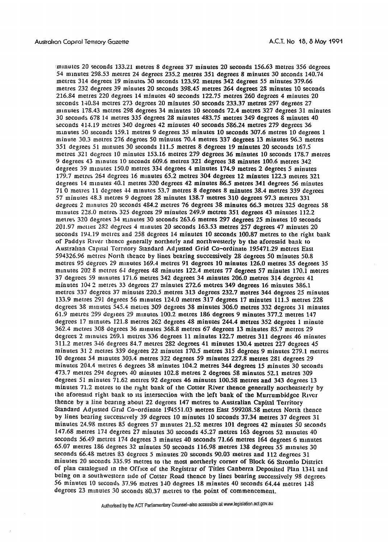minutes 20 seconds 133.21 metres 8 degrees 37 minutes 20 seconds 156.63 metres 356 degrees 54 minutes 298.53 metres 24 degrees 235.2 metres 351 degrees 8 minutes 30 seconds 140.74 metres 314 degrees 19 minutes 30 seconds 123.92 metres 342 degrees 55 minutes 379.66 metres 232 degrees 39 minutes 20 seconds 398.45 metres 264 degrees 28 minutes 10 seconds 216.84 metres 220 degrees 14 minutes 40 seconds 122.75 metres 260 degrees 4 minutes 20 seconds 140.84 metres 273 degrees 20 minutes 50 seconds 233.37 metres 297 degrees 27 minutes 178.43 metres 298 degrees 34 minutes 10 seconds 72.4 metres 327 degrees 31 minutes 30 seconds 678 14 metres 335 degrees 28 minutes 483.75 metres 349 degrees 8 minutes 40 seconds 414.19 metres 340 degrees 42 minutes 40 seconds 586.24 metres 279 degrees 36 minutes 50 seconds 159.1 metres 9 degrees 35 minutes 10 seconds 307.6 metres 10 degrees 1 minute 30.3 metres 276 degrees 50 minutes 70.4 metres 337 degrees 13 minutes 96.3 metres 351 degrees 51 minutes 30 seconds 111.5 metres 8 degrees 19 minutes 20 seconds 167.5 metres 321 degrees 10 minutes 153.16 metres 279 degrees 36 minutes 10 seconds 178.7 metres 9 degrees 43 minutes 10 seconds 609.6 metres 321 degrees 38 minutes 100.6 metres 342 degrees 39 minutes 150.0 metres 334 degrees 4 minutes 174.9 metres 2 degrees 5 minutes 179.7 metres 264 degrees 16 minutes 65.2 metres 304 degrees 12 minutes 122.3 metres 321 degrees 14 minutes 40.1 metres 320 degrees 42 minutes 86.5 metres 341 degrees 56 minutes 710 metres 11 degrees 44 minutes 53.7 metres 8 degrees 8 minutes 38.4 metres 339 degrees 57 minutes 48.3 metres 9 degrees 28 minutes 138.7 metres 310 degrees 97.3 metres 331 degrees 2 minutes 20 seconds 484.2 metres 76 degrees 38 minutes 66.3 metres 325 degrees 58 minutes 228.0 metres 325 degrees 29 minutes 249.9 metres 351 degrees 43 minutes 112.2 metres 320 degrees 34 minutes 30 seconds 263.6 metres 297 degrees 25 minutes 10 seconds 201.97 mettes 282 degrees 4 minutes 20 seconds 163.53 metres 257 degrees 47 minutes 20 seconds 194.19 metres and 258 degrees 14 minutes 10 seconds 100.87 metres to the right bank of Paddys River thence generally northerly and northwesterly by the aforesaid bank to Australian Capital Territory Standard Adjusted Grid Co-ordinate 195471.29 metres East 594326.96 metres North thence by lines bearing successively 28 degrees 50 minutes 50.8 metres 95 degrees 29 minutes 169.4 metres 91 degrees 10 minutes 126.0 metres 35 degrees 35 minutes 202 8 metres 64 degrees 48 minutes 122.4 metres 77 degrees 57 minutes 170.1 metres 37 degrees 59 minutes 171.6 metres 342 degrees 34 minutes 206.0 metres 314 degrees 41 minutes 104.2 metres 33 degrees 27 minutes 272.6 metres 349 degrees 16 minutes 386.1 metres 337 degrees 37 minutes 220.5 metres 313 degrees 232.7 metres 344 degrees 25 minutes 133.9 metres 291 degrees 56 minutes 124.0 metres 317 degrees 17 minutes 111.3 metres 228 degrees 38 minutes 545.4 mettes 309 degrees 38 minutes 306.0 metres 332 degrees 31 minutes 61.9 metres 299 degrees 29 minutes 100.2 metres 186 degrees 9 minutes 377.2 metres 147 degrees 17 minutes 121.8 metres 262 degrees 48 minutes 244.4 metres 352 degrees 1 minute 362.4 metres 308 degrees 36 minutes 368.8 metres 67 degrees 13 minutes 85.7 metres 29 degrees 2 minutes 269.1 metres 336 degrees 11 minutes 122.7 metres 311 degrees 46 minutes 311.2 metres 346 degrees 84.7 metres 282 degrees 41 minutes 130.4 metres 227 degrees 45 minutes 31 2 metres 339 degrees 22 minutes 170.5 metres 315 degrees 9 minutes 279.1 metres 10 degrees 54 minutes 303.4 metres 322 degrees 59 minutes 227.8 metres 281 degrees 29 minutes 204.4 metres 6 degrees 38 minutes 104.2 metres 344 degrees 15 minutes 30 seconds 473.7 metres 294 degrees 40 minutes 102.8 metres 2 degrees 58 minutes 52.1 metres 309 degrees 51 minutes 71.62 metres 92 degrees 46 minutes 100.58 metres and 343 degrees 13 minutes 71.2 metres to the right bank of the Cotter River thence generally northeasterly by the aforesaid right bank to its intersection with the left bank of the Murrumbidgee River thence by a line bearing about 22 degrees 147 metres to Australian Capital Territory Standard Adjusted Grid Co-ordinate 194551.03 metres East 599208.58 metres North thence by lines bearing successively 39 degrees 10 minutes 10 seconds 37.34 metres 37 degrees 31 minutes 24.98 metres 85 degrees 57 minutes 21.52 metres 101 degrees 42 minutes 50 seconds 147.68 metres 174 degrees 27 minutes 30 seconds 45.27 metres 163 degrees 52 minutes 40 seconds 56.49 metres 174 degrees 3 minutes 40 seconds 71.66 metres 164 degrees 6 minutes 65.07 metres 186 degrees 32 minutes 50 seconds 116.98 metres 138 degrees 55 minutes 30 seconds 66.48 metres 83 degrees 5 minutes 20 seconds 90.03 metres and 112 degrees 31 minutes 20 seconds 335.95 metres to the most northerly corner of Block 66 Stromlo District of plan catalogued in the Office of the Registrar of Titles Canberra Deposited Plan 1341 and being on a southwestern side of Cotter Road thence by lines bearing successively 98 degrees 56 minutes 10 seconds 37.96 metres 140 degrees 18 minutes 40 seconds 64.44 metres 148 degrees 23 minutes 30 seconds 80.37 metres to the point of commencement.